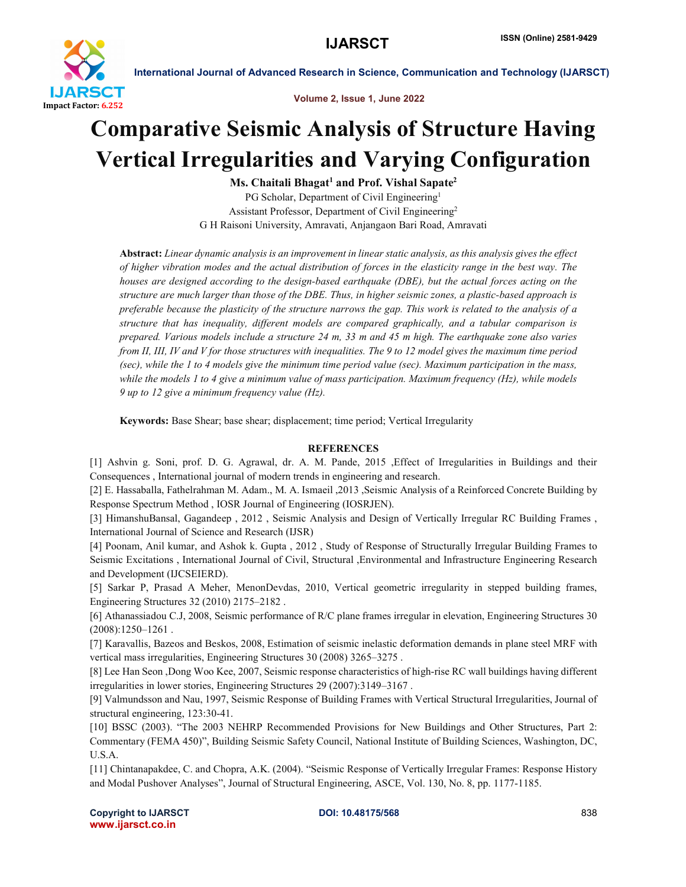

International Journal of Advanced Research in Science, Communication and Technology (IJARSCT)

Volume 2, Issue 1, June 2022

## Comparative Seismic Analysis of Structure Having Vertical Irregularities and Varying Configuration

 $Ms. Chaitali Bhagat<sup>1</sup> and Prof. Vishal Sapate<sup>2</sup>$ PG Scholar, Department of Civil Engineering<sup>1</sup> Assistant Professor, Department of Civil Engineering2 G H Raisoni University, Amravati, Anjangaon Bari Road, Amravati

Abstract: *Linear dynamic analysis is an improvement in linear static analysis, as this analysis gives the effect of higher vibration modes and the actual distribution of forces in the elasticity range in the best way. The houses are designed according to the design-based earthquake (DBE), but the actual forces acting on the structure are much larger than those of the DBE. Thus, in higher seismic zones, a plastic-based approach is preferable because the plasticity of the structure narrows the gap. This work is related to the analysis of a structure that has inequality, different models are compared graphically, and a tabular comparison is prepared. Various models include a structure 24 m, 33 m and 45 m high. The earthquake zone also varies from II, III, IV and V for those structures with inequalities. The 9 to 12 model gives the maximum time period (sec), while the 1 to 4 models give the minimum time period value (sec). Maximum participation in the mass, while the models 1 to 4 give a minimum value of mass participation. Maximum frequency (Hz), while models 9 up to 12 give a minimum frequency value (Hz).*

Keywords: Base Shear; base shear; displacement; time period; Vertical Irregularity

## **REFERENCES**

[1] Ashvin g. Soni, prof. D. G. Agrawal, dr. A. M. Pande, 2015 ,Effect of Irregularities in Buildings and their Consequences , International journal of modern trends in engineering and research.

[2] E. Hassaballa, Fathelrahman M. Adam., M. A. Ismaeil ,2013 ,Seismic Analysis of a Reinforced Concrete Building by Response Spectrum Method , IOSR Journal of Engineering (IOSRJEN).

[3] HimanshuBansal, Gagandeep , 2012 , Seismic Analysis and Design of Vertically Irregular RC Building Frames , International Journal of Science and Research (IJSR)

[4] Poonam, Anil kumar, and Ashok k. Gupta , 2012 , Study of Response of Structurally Irregular Building Frames to Seismic Excitations , International Journal of Civil, Structural ,Environmental and Infrastructure Engineering Research and Development (IJCSEIERD).

[5] Sarkar P, Prasad A Meher, MenonDevdas, 2010, Vertical geometric irregularity in stepped building frames, Engineering Structures 32 (2010) 2175–2182 .

[6] Athanassiadou C.J, 2008, Seismic performance of R/C plane frames irregular in elevation, Engineering Structures 30 (2008):1250–1261 .

[7] Karavallis, Bazeos and Beskos, 2008, Estimation of seismic inelastic deformation demands in plane steel MRF with vertical mass irregularities, Engineering Structures 30 (2008) 3265–3275 .

[8] Lee Han Seon ,Dong Woo Kee, 2007, Seismic response characteristics of high-rise RC wall buildings having different irregularities in lower stories, Engineering Structures 29 (2007):3149–3167 .

[9] Valmundsson and Nau, 1997, Seismic Response of Building Frames with Vertical Structural Irregularities, Journal of structural engineering, 123:30-41.

[10] BSSC (2003). "The 2003 NEHRP Recommended Provisions for New Buildings and Other Structures, Part 2: Commentary (FEMA 450)", Building Seismic Safety Council, National Institute of Building Sciences, Washington, DC, U.S.A.

[11] Chintanapakdee, C. and Chopra, A.K. (2004). "Seismic Response of Vertically Irregular Frames: Response History and Modal Pushover Analyses", Journal of Structural Engineering, ASCE, Vol. 130, No. 8, pp. 1177-1185.